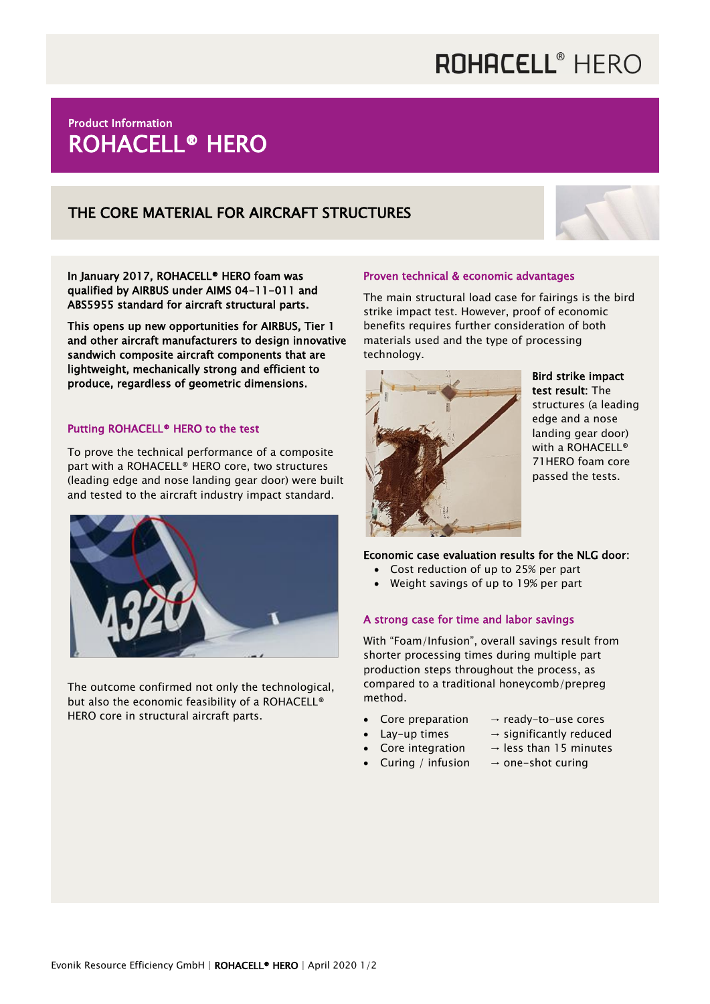# ROHACELL<sup>®</sup> HERO

### Product Information ROHACELL® HERO

### THE CORE MATERIAL FOR AIRCRAFT STRUCTURES



In January 2017, ROHACELL® HERO foam was qualified by AIRBUS under AIMS 04-11-011 and ABS5955 standard for aircraft structural parts.

This opens up new opportunities for AIRBUS, Tier 1 and other aircraft manufacturers to design innovative sandwich composite aircraft components that are lightweight, mechanically strong and efficient to produce, regardless of geometric dimensions.

#### Putting ROHACELL® HERO to the test

To prove the technical performance of a composite part with a ROHACELL® HERO core, two structures (leading edge and nose landing gear door) were built and tested to the aircraft industry impact standard.



The outcome confirmed not only the technological, but also the economic feasibility of a ROHACELL® HERO core in structural aircraft parts.

#### Proven technical & economic advantages

The main structural load case for fairings is the bird strike impact test. However, proof of economic benefits requires further consideration of both materials used and the type of processing technology.



Bird strike impact test result: The structures (a leading edge and a nose landing gear door) with a ROHACELL® 71HERO foam core passed the tests.

#### Economic case evaluation results for the NLG door:

- Cost reduction of up to 25% per part
- Weight savings of up to 19% per part

#### A strong case for time and labor savings

With "Foam/Infusion", overall savings result from shorter processing times during multiple part production steps throughout the process, as compared to a traditional honeycomb/prepreg method.

- Core preparation  $\rightarrow$  ready-to-use cores
- Lay-up times  $\rightarrow$  significantly reduced
- Core integration  $\rightarrow$  less than 15 minutes
- Curing / infusion  $\rightarrow$  one-shot curing
-